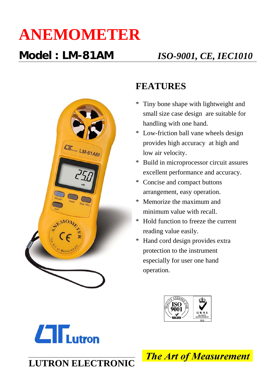## **ANEMOMETER**



### **FEATURES**

- \* Tiny bone shape with lightweight and small size case design are suitable for handling with one hand.
- \* Low-friction ball vane wheels design provides high accuracy at high and low air velocity.
- \* Build in microprocessor circuit assures excellent performance and accuracy.
- \* Concise and compact buttons arrangement, easy operation.
- \* Memorize the maximum and minimum value with recall.
- \* Hold function to freeze the current reading value easily.
- \* Hand cord design provides extra protection to the instrument especially for user one hand operation.





**LUTRON ELECTRONIC**

**The Art of Measurement**